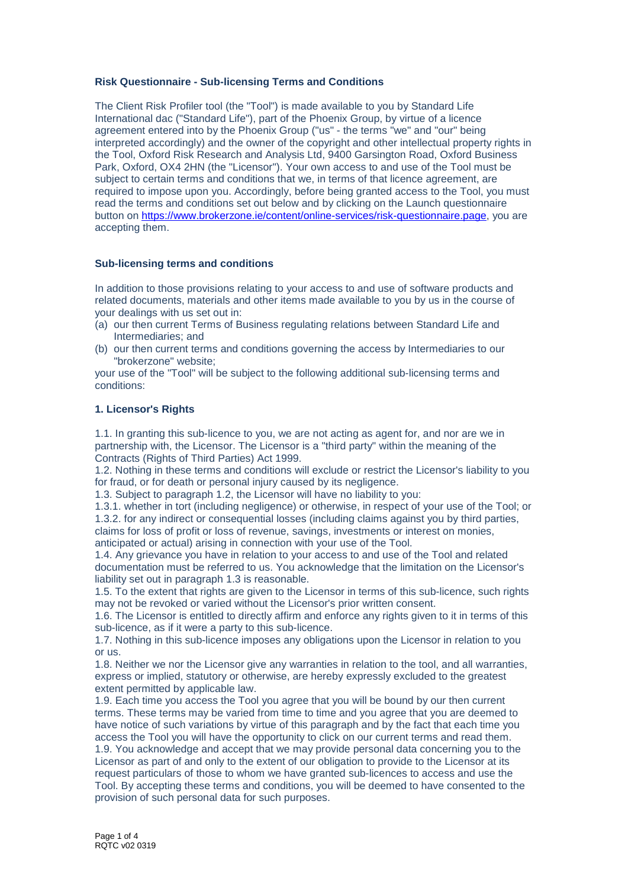## **Risk Questionnaire - Sub-licensing Terms and Conditions**

The Client Risk Profiler tool (the "Tool") is made available to you by Standard Life International dac ("Standard Life"), part of the Phoenix Group, by virtue of a licence agreement entered into by the Phoenix Group ("us" - the terms "we" and "our" being interpreted accordingly) and the owner of the copyright and other intellectual property rights in the Tool, Oxford Risk Research and Analysis Ltd, 9400 Garsington Road, Oxford Business Park, Oxford, OX4 2HN (the "Licensor"). Your own access to and use of the Tool must be subject to certain terms and conditions that we, in terms of that licence agreement, are required to impose upon you. Accordingly, before being granted access to the Tool, you must read the terms and conditions set out below and by clicking on the Launch questionnaire button on [https://www.brokerzone.ie/content/online-services/risk-questionnaire.page,](https://www.brokerzone.ie/content/online-services/risk-questionnaire.page) you are accepting them.

#### **Sub-licensing terms and conditions**

In addition to those provisions relating to your access to and use of software products and related documents, materials and other items made available to you by us in the course of your dealings with us set out in:

- (a) our then current Terms of Business regulating relations between Standard Life and Intermediaries; and
- (b) our then current terms and conditions governing the access by Intermediaries to our "brokerzone" website;

your use of the "Tool" will be subject to the following additional sub-licensing terms and conditions:

## **1. Licensor's Rights**

1.1. In granting this sub-licence to you, we are not acting as agent for, and nor are we in partnership with, the Licensor. The Licensor is a "third party" within the meaning of the Contracts (Rights of Third Parties) Act 1999.

1.2. Nothing in these terms and conditions will exclude or restrict the Licensor's liability to you for fraud, or for death or personal injury caused by its negligence.

1.3. Subject to paragraph 1.2, the Licensor will have no liability to you:

1.3.1. whether in tort (including negligence) or otherwise, in respect of your use of the Tool; or 1.3.2. for any indirect or consequential losses (including claims against you by third parties, claims for loss of profit or loss of revenue, savings, investments or interest on monies, anticipated or actual) arising in connection with your use of the Tool.

1.4. Any grievance you have in relation to your access to and use of the Tool and related documentation must be referred to us. You acknowledge that the limitation on the Licensor's liability set out in paragraph 1.3 is reasonable.

1.5. To the extent that rights are given to the Licensor in terms of this sub-licence, such rights may not be revoked or varied without the Licensor's prior written consent.

1.6. The Licensor is entitled to directly affirm and enforce any rights given to it in terms of this sub-licence, as if it were a party to this sub-licence.

1.7. Nothing in this sub-licence imposes any obligations upon the Licensor in relation to you or us.

1.8. Neither we nor the Licensor give any warranties in relation to the tool, and all warranties, express or implied, statutory or otherwise, are hereby expressly excluded to the greatest extent permitted by applicable law.

1.9. Each time you access the Tool you agree that you will be bound by our then current terms. These terms may be varied from time to time and you agree that you are deemed to have notice of such variations by virtue of this paragraph and by the fact that each time you access the Tool you will have the opportunity to click on our current terms and read them. 1.9. You acknowledge and accept that we may provide personal data concerning you to the Licensor as part of and only to the extent of our obligation to provide to the Licensor at its request particulars of those to whom we have granted sub-licences to access and use the Tool. By accepting these terms and conditions, you will be deemed to have consented to the provision of such personal data for such purposes.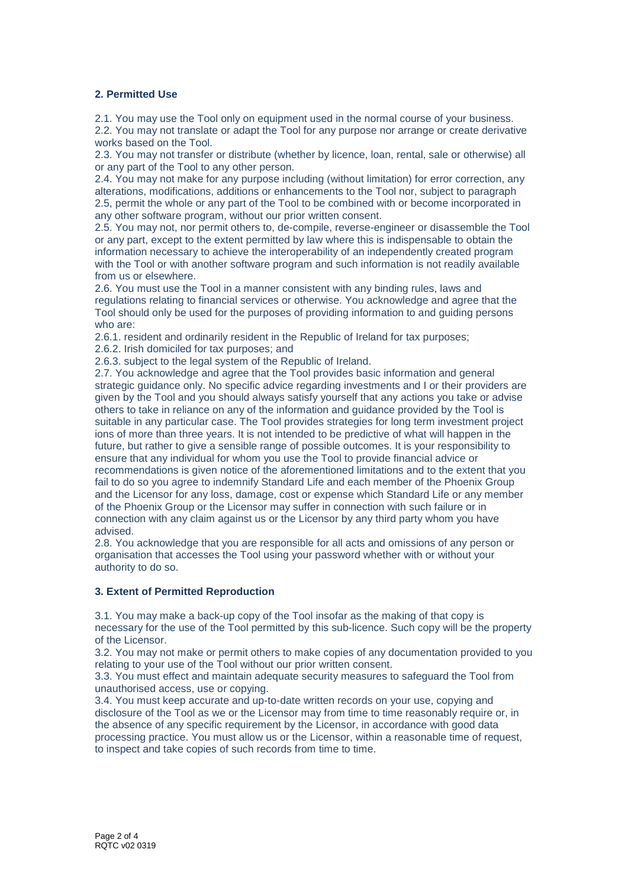## **2. Permitted Use**

2.1. You may use the Tool only on equipment used in the normal course of your business. 2.2. You may not translate or adapt the Tool for any purpose nor arrange or create derivative works based on the Tool.

2.3. You may not transfer or distribute (whether by licence, loan, rental, sale or otherwise) all or any part of the Tool to any other person.

2.4. You may not make for any purpose including (without limitation) for error correction, any alterations, modifications, additions or enhancements to the Tool nor, subject to paragraph 2.5, permit the whole or any part of the Tool to be combined with or become incorporated in any other software program, without our prior written consent.

2.5. You may not, nor permit others to, de-compile, reverse-engineer or disassemble the Tool or any part, except to the extent permitted by law where this is indispensable to obtain the information necessary to achieve the interoperability of an independently created program with the Tool or with another software program and such information is not readily available from us or elsewhere.

2.6. You must use the Tool in a manner consistent with any binding rules, laws and regulations relating to financial services or otherwise. You acknowledge and agree that the Tool should only be used for the purposes of providing information to and guiding persons who are:

2.6.1. resident and ordinarily resident in the Republic of Ireland for tax purposes;

2.6.2. Irish domiciled for tax purposes; and

2.6.3. subject to the legal system of the Republic of Ireland.

2.7. You acknowledge and agree that the Tool provides basic information and general strategic guidance only. No specific advice regarding investments and I or their providers are given by the Tool and you should always satisfy yourself that any actions you take or advise others to take in reliance on any of the information and guidance provided by the Tool is suitable in any particular case. The Tool provides strategies for long term investment project ions of more than three years. It is not intended to be predictive of what will happen in the future, but rather to give a sensible range of possible outcomes. It is your responsibility to ensure that any individual for whom you use the Tool to provide financial advice or recommendations is given notice of the aforementioned limitations and to the extent that you fail to do so you agree to indemnify Standard Life and each member of the Phoenix Group and the Licensor for any loss, damage, cost or expense which Standard Life or any member of the Phoenix Group or the Licensor may suffer in connection with such failure or in connection with any claim against us or the Licensor by any third party whom you have advised.

2.8. You acknowledge that you are responsible for all acts and omissions of any person or organisation that accesses the Tool using your password whether with or without your authority to do so.

## **3. Extent of Permitted Reproduction**

3.1. You may make a back-up copy of the Tool insofar as the making of that copy is necessary for the use of the Tool permitted by this sub-licence. Such copy will be the property of the Licensor.

3.2. You may not make or permit others to make copies of any documentation provided to you relating to your use of the Tool without our prior written consent.

3.3. You must effect and maintain adequate security measures to safeguard the Tool from unauthorised access, use or copying.

3.4. You must keep accurate and up-to-date written records on your use, copying and disclosure of the Tool as we or the Licensor may from time to time reasonably require or, in the absence of any specific requirement by the Licensor, in accordance with good data processing practice. You must allow us or the Licensor, within a reasonable time of request, to inspect and take copies of such records from time to time.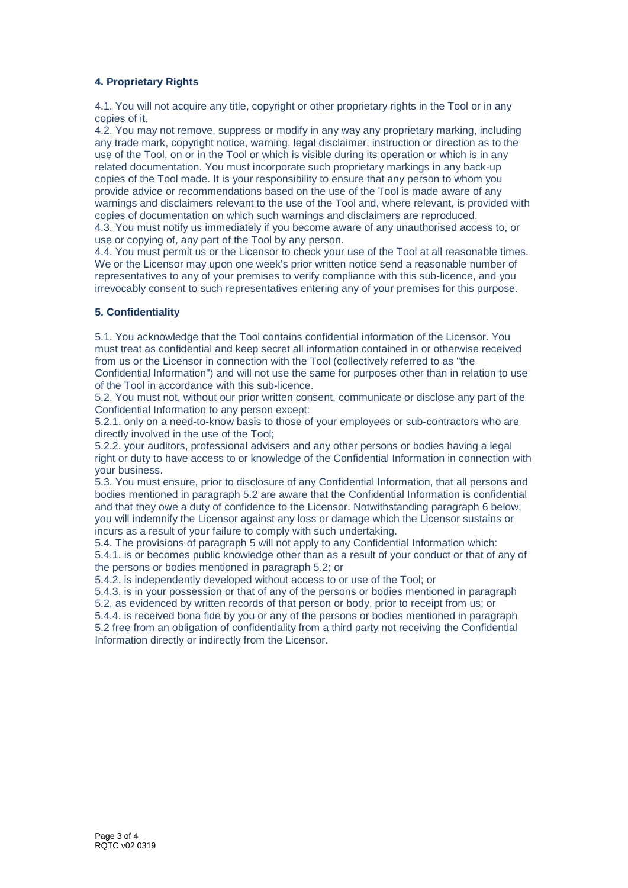# **4. Proprietary Rights**

4.1. You will not acquire any title, copyright or other proprietary rights in the Tool or in any copies of it.

4.2. You may not remove, suppress or modify in any way any proprietary marking, including any trade mark, copyright notice, warning, legal disclaimer, instruction or direction as to the use of the Tool, on or in the Tool or which is visible during its operation or which is in any related documentation. You must incorporate such proprietary markings in any back-up copies of the Tool made. It is your responsibility to ensure that any person to whom you provide advice or recommendations based on the use of the Tool is made aware of any warnings and disclaimers relevant to the use of the Tool and, where relevant, is provided with copies of documentation on which such warnings and disclaimers are reproduced.

4.3. You must notify us immediately if you become aware of any unauthorised access to, or use or copying of, any part of the Tool by any person.

4.4. You must permit us or the Licensor to check your use of the Tool at all reasonable times. We or the Licensor may upon one week's prior written notice send a reasonable number of representatives to any of your premises to verify compliance with this sub-licence, and you irrevocably consent to such representatives entering any of your premises for this purpose.

## **5. Confidentiality**

5.1. You acknowledge that the Tool contains confidential information of the Licensor. You must treat as confidential and keep secret all information contained in or otherwise received from us or the Licensor in connection with the Tool (collectively referred to as "the

Confidential Information") and will not use the same for purposes other than in relation to use of the Tool in accordance with this sub-licence.

5.2. You must not, without our prior written consent, communicate or disclose any part of the Confidential Information to any person except:

5.2.1. only on a need-to-know basis to those of your employees or sub-contractors who are directly involved in the use of the Tool;

5.2.2. your auditors, professional advisers and any other persons or bodies having a legal right or duty to have access to or knowledge of the Confidential Information in connection with your business.

5.3. You must ensure, prior to disclosure of any Confidential Information, that all persons and bodies mentioned in paragraph 5.2 are aware that the Confidential Information is confidential and that they owe a duty of confidence to the Licensor. Notwithstanding paragraph 6 below, you will indemnify the Licensor against any loss or damage which the Licensor sustains or incurs as a result of your failure to comply with such undertaking.

5.4. The provisions of paragraph 5 will not apply to any Confidential Information which: 5.4.1. is or becomes public knowledge other than as a result of your conduct or that of any of the persons or bodies mentioned in paragraph 5.2; or

5.4.2. is independently developed without access to or use of the Tool; or

5.4.3. is in your possession or that of any of the persons or bodies mentioned in paragraph 5.2, as evidenced by written records of that person or body, prior to receipt from us; or

5.4.4. is received bona fide by you or any of the persons or bodies mentioned in paragraph 5.2 free from an obligation of confidentiality from a third party not receiving the Confidential Information directly or indirectly from the Licensor.